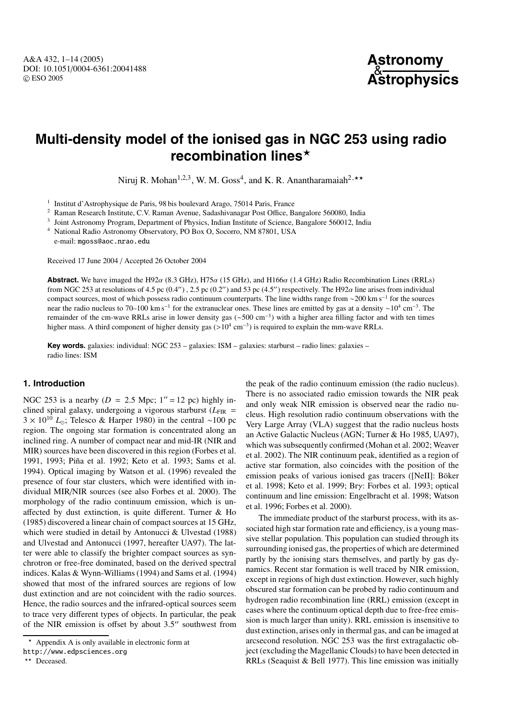# **Multi-density model of the ionised gas in NGC 253 using radio recombination lines**

Niruj R. Mohan<sup>1,2,3</sup>, W. M. Goss<sup>4</sup>, and K. R. Anantharamaiah<sup>2,\*\*</sup>

<sup>1</sup> Institut d'Astrophysique de Paris, 98 bis boulevard Arago, 75014 Paris, France

<sup>2</sup> Raman Research Institute, C.V. Raman Avenue, Sadashivanagar Post Office, Bangalore 560080, India<br><sup>3</sup> Joint Astronomy Program, Department of Physics, Indian Institute of Science, Bangalore 560012, India

<sup>3</sup> Joint Astronomy Program, Department of Physics, Indian Institute of Science, Bangalore 560012, India

<sup>4</sup> National Radio Astronomy Observatory, PO Box O, Socorro, NM 87801, USA

e-mail: mgoss@aoc.nrao.edu

Received 17 June 2004 / Accepted 26 October 2004

**Abstract.** We have imaged the H92 $\alpha$  (8.3 GHz), H75 $\alpha$  (15 GHz), and H166 $\alpha$  (1.4 GHz) Radio Recombination Lines (RRLs) from NGC 253 at resolutions of 4.5 pc  $(0.4'')$ , 2.5 pc  $(0.2'')$  and 53 pc  $(4.5'')$  respectively. The H92 $\alpha$  line arises from individual compact sources, most of which possess radio continuum counterparts. The line widths range from ∼200 km s−<sup>1</sup> for the sources near the radio nucleus to 70–100 km s<sup>-1</sup> for the extranuclear ones. These lines are emitted by gas at a density ∼10<sup>4</sup> cm<sup>-3</sup>. The remainder of the cm-wave RRLs arise in lower density gas (∼500 cm−3) with a higher area filling factor and with ten times higher mass. A third component of higher density gas  $(>10^4 \text{ cm}^{-3})$  is required to explain the mm-wave RRLs.

**Key words.** galaxies: individual: NGC 253 – galaxies: ISM – galaxies: starburst – radio lines: galaxies – radio lines: ISM

# **1. Introduction**

NGC 253 is a nearby  $(D = 2.5$  Mpc;  $1'' = 12$  pc) highly inclined spiral galaxy, undergoing a vigorous starburst  $(L_{\text{FIR}} =$ 3 × 10<sup>10</sup> *L*; Telesco & Harper 1980) in the central ∼100 pc region. The ongoing star formation is concentrated along an inclined ring. A number of compact near and mid-IR (NIR and MIR) sources have been discovered in this region (Forbes et al. 1991, 1993; Piña et al. 1992; Keto et al. 1993; Sams et al. 1994). Optical imaging by Watson et al. (1996) revealed the presence of four star clusters, which were identified with individual MIR/NIR sources (see also Forbes et al. 2000). The morphology of the radio continuum emission, which is unaffected by dust extinction, is quite different. Turner & Ho (1985) discovered a linear chain of compact sources at 15 GHz, which were studied in detail by Antonucci & Ulvestad (1988) and Ulvestad and Antonucci (1997, hereafter UA97). The latter were able to classify the brighter compact sources as synchrotron or free-free dominated, based on the derived spectral indices. Kalas & Wynn-Williams (1994) and Sams et al. (1994) showed that most of the infrared sources are regions of low dust extinction and are not coincident with the radio sources. Hence, the radio sources and the infrared-optical sources seem to trace very different types of objects. In particular, the peak of the NIR emission is offset by about  $3.5$ " southwest from

the peak of the radio continuum emission (the radio nucleus). There is no associated radio emission towards the NIR peak and only weak NIR emission is observed near the radio nucleus. High resolution radio continuum observations with the Very Large Array (VLA) suggest that the radio nucleus hosts an Active Galactic Nucleus (AGN; Turner & Ho 1985, UA97), which was subsequently confirmed (Mohan et al. 2002; Weaver et al. 2002). The NIR continuum peak, identified as a region of active star formation, also coincides with the position of the emission peaks of various ionised gas tracers ([NeII]: Böker et al. 1998; Keto et al. 1999; Brγ: Forbes et al. 1993; optical continuum and line emission: Engelbracht et al. 1998; Watson et al. 1996; Forbes et al. 2000).

The immediate product of the starburst process, with its associated high star formation rate and efficiency, is a young massive stellar population. This population can studied through its surrounding ionised gas, the properties of which are determined partly by the ionising stars themselves, and partly by gas dynamics. Recent star formation is well traced by NIR emission, except in regions of high dust extinction. However, such highly obscured star formation can be probed by radio continuum and hydrogen radio recombination line (RRL) emission (except in cases where the continuum optical depth due to free-free emission is much larger than unity). RRL emission is insensitive to dust extinction, arises only in thermal gas, and can be imaged at arcsecond resolution. NGC 253 was the first extragalactic object (excluding the Magellanic Clouds) to have been detected in RRLs (Seaquist & Bell 1977). This line emission was initially

 $\star$  Appendix A is only available in electronic form at

http://www.edpsciences.org

<sup>\*\*</sup> Deceased.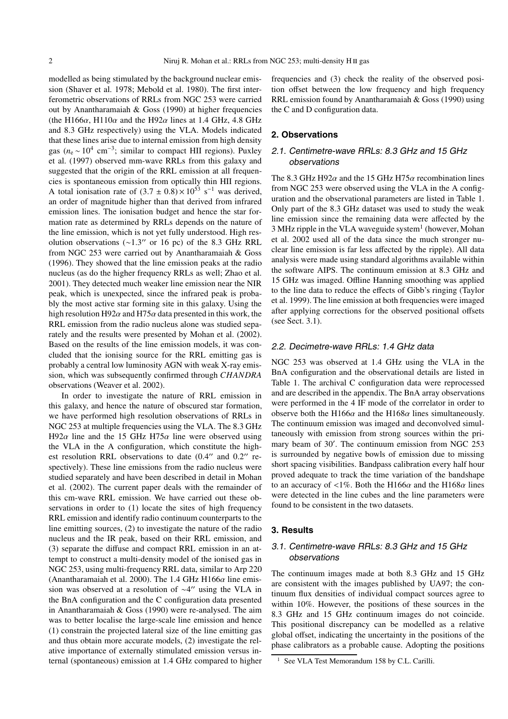modelled as being stimulated by the background nuclear emission (Shaver et al. 1978; Mebold et al. 1980). The first interferometric observations of RRLs from NGC 253 were carried out by Anantharamaiah & Goss (1990) at higher frequencies (the H166 $\alpha$ , H110 $\alpha$  and the H92 $\alpha$  lines at 1.4 GHz, 4.8 GHz and 8.3 GHz respectively) using the VLA. Models indicated that these lines arise due to internal emission from high density gas ( $n_e \sim 10^4$  cm<sup>-3</sup>; similar to compact HII regions). Puxley et al. (1997) observed mm-wave RRLs from this galaxy and suggested that the origin of the RRL emission at all frequencies is spontaneous emission from optically thin HII regions. A total ionisation rate of  $(3.7 \pm 0.8) \times 10^{53}$  s<sup>-1</sup> was derived, an order of magnitude higher than that derived from infrared emission lines. The ionisation budget and hence the star formation rate as determined by RRLs depends on the nature of the line emission, which is not yet fully understood. High resolution observations  $(\sim 1.3$ " or 16 pc) of the 8.3 GHz RRL from NGC 253 were carried out by Anantharamaiah & Goss (1996). They showed that the line emission peaks at the radio nucleus (as do the higher frequency RRLs as well; Zhao et al. 2001). They detected much weaker line emission near the NIR peak, which is unexpected, since the infrared peak is probably the most active star forming site in this galaxy. Using the high resolution H92 $\alpha$  and H75 $\alpha$  data presented in this work, the RRL emission from the radio nucleus alone was studied separately and the results were presented by Mohan et al. (2002). Based on the results of the line emission models, it was concluded that the ionising source for the RRL emitting gas is probably a central low luminosity AGN with weak X-ray emission, which was subsequently confirmed through *CHANDRA* observations (Weaver et al. 2002).

In order to investigate the nature of RRL emission in this galaxy, and hence the nature of obscured star formation, we have performed high resolution observations of RRLs in NGC 253 at multiple frequencies using the VLA. The 8.3 GHz H92 $\alpha$  line and the 15 GHz H75 $\alpha$  line were observed using the VLA in the A configuration, which constitute the highest resolution RRL observations to date  $(0.4$ " and  $0.2$ " respectively). These line emissions from the radio nucleus were studied separately and have been described in detail in Mohan et al. (2002). The current paper deals with the remainder of this cm-wave RRL emission. We have carried out these observations in order to (1) locate the sites of high frequency RRL emission and identify radio continuum counterparts to the line emitting sources, (2) to investigate the nature of the radio nucleus and the IR peak, based on their RRL emission, and (3) separate the diffuse and compact RRL emission in an attempt to construct a multi-density model of the ionised gas in NGC 253, using multi-frequency RRL data, similar to Arp 220 (Anantharamaiah et al. 2000). The 1.4 GHz H166 $\alpha$  line emission was observed at a resolution of  $\sim$ 4" using the VLA in the BnA configuration and the C configuration data presented in Anantharamaiah & Goss (1990) were re-analysed. The aim was to better localise the large-scale line emission and hence (1) constrain the projected lateral size of the line emitting gas and thus obtain more accurate models, (2) investigate the relative importance of externally stimulated emission versus internal (spontaneous) emission at 1.4 GHz compared to higher frequencies and (3) check the reality of the observed position offset between the low frequency and high frequency RRL emission found by Anantharamaiah & Goss (1990) using the C and D configuration data.

# **2. Observations**

# 2.1. Centimetre-wave RRLs: 8.3 GHz and 15 GHz observations

The 8.3 GHz H92 $\alpha$  and the 15 GHz H75 $\alpha$  recombination lines from NGC 253 were observed using the VLA in the A configuration and the observational parameters are listed in Table 1. Only part of the 8.3 GHz dataset was used to study the weak line emission since the remaining data were affected by the  $3$  MHz ripple in the VLA waveguide system<sup>1</sup> (however, Mohan et al. 2002 used all of the data since the much stronger nuclear line emission is far less affected by the ripple). All data analysis were made using standard algorithms available within the software AIPS. The continuum emission at 8.3 GHz and 15 GHz was imaged. Offline Hanning smoothing was applied to the line data to reduce the effects of Gibb's ringing (Taylor et al. 1999). The line emission at both frequencies were imaged after applying corrections for the observed positional offsets (see Sect. 3.1).

#### 2.2. Decimetre-wave RRLs: 1.4 GHz data

NGC 253 was observed at 1.4 GHz using the VLA in the BnA configuration and the observational details are listed in Table 1. The archival C configuration data were reprocessed and are described in the appendix. The BnA array observations were performed in the 4 IF mode of the correlator in order to observe both the H166 $\alpha$  and the H168 $\alpha$  lines simultaneously. The continuum emission was imaged and deconvolved simultaneously with emission from strong sources within the primary beam of 30'. The continuum emission from NGC 253 is surrounded by negative bowls of emission due to missing short spacing visibilities. Bandpass calibration every half hour proved adequate to track the time variation of the bandshape to an accuracy of <1%. Both the H166 $\alpha$  and the H168 $\alpha$  lines were detected in the line cubes and the line parameters were found to be consistent in the two datasets.

### **3. Results**

# 3.1. Centimetre-wave RRLs: 8.3 GHz and 15 GHz observations

The continuum images made at both 8.3 GHz and 15 GHz are consistent with the images published by UA97; the continuum flux densities of individual compact sources agree to within 10%. However, the positions of these sources in the 8.3 GHz and 15 GHz continuum images do not coincide. This positional discrepancy can be modelled as a relative global offset, indicating the uncertainty in the positions of the phase calibrators as a probable cause. Adopting the positions

<sup>&</sup>lt;sup>1</sup> See VLA Test Memorandum 158 by C.L. Carilli.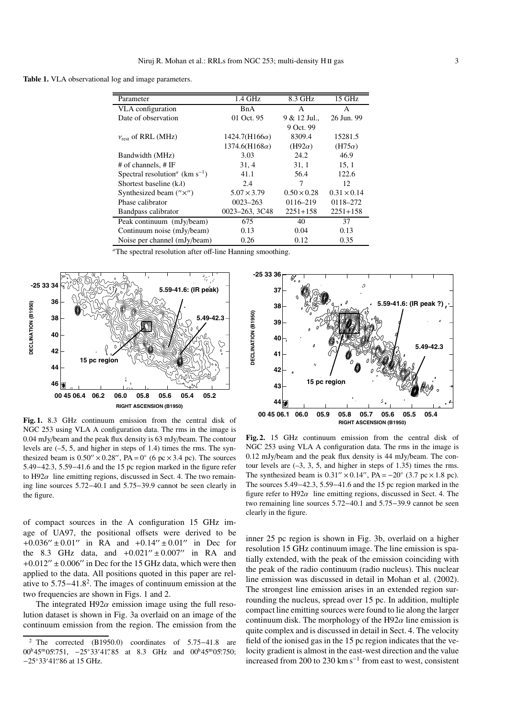Table 1. VLA observational log and image parameters.

| Parameter                                                     | $1.4$ GHz            | 8.3 GHz            | 15 GHz             |
|---------------------------------------------------------------|----------------------|--------------------|--------------------|
| VLA configuration                                             | <b>BnA</b>           | A                  | A                  |
| Date of observation                                           | 01 Oct. 95           | 9 & 12 Jul.,       | 26 Jun. 99         |
|                                                               |                      | 9 Oct. 99          |                    |
| $v_{\text{rest}}$ of RRL (MHz)                                | $1424.7(H166\alpha)$ | 8309.4             | 15281.5            |
|                                                               | $1374.6(H168\alpha)$ | $(H92\alpha)$      | $(H75\alpha)$      |
| Bandwidth (MHz)                                               | 3.03                 | 24.2               | 46.9               |
| # of channels, $# IF$                                         | 31, 4                | 31, 1              | 15, 1              |
| Spectral resolution <sup><i>a</i></sup> (km s <sup>-1</sup> ) | 41.1                 | 56.4               | 122.6              |
| Shortest baseline $(k\lambda)$                                | 2.4                  | 7                  | 12                 |
| Synthesized beam $('' \times'')$                              | $5.07 \times 3.79$   | $0.50 \times 0.28$ | $0.31 \times 0.14$ |
| Phase calibrator                                              | $0023 - 263$         | 0116-219           | 0118-272           |
| Bandpass calibrator                                           | 0023-263, 3C48       | $2251 + 158$       | $2251 + 158$       |
| Peak continuum (mJy/beam)                                     | 675                  | 40                 | 37                 |
| Continuum noise (mJy/beam)                                    | 0.13                 | 0.04               | 0.13               |
| Noise per channel (mJy/beam)                                  | 0.26                 | 0.12               | 0.35               |

*<sup>a</sup>*The spectral resolution after off-line Hanning smoothing.



**Fig. 1.** 8.3 GHz continuum emission from the central disk of NGC 253 using VLA A configuration data. The rms in the image is 0.04 mJy/beam and the peak flux density is 63 mJy/beam. The contour levels are (–5, 5, and higher in steps of 1.4) times the rms. The synthesized beam is  $0.50'' \times 0.28''$ , PA =  $0°$  (6 pc × 3.4 pc). The sources 5.49−42.3, 5.59−41.6 and the 15 pc region marked in the figure refer to  $H92\alpha$  line emitting regions, discussed in Sect. 4. The two remaining line sources 5.72−40.1 and 5.75−39.9 cannot be seen clearly in the figure.

of compact sources in the A configuration 15 GHz image of UA97, the positional offsets were derived to be  $+0.036'' \pm 0.01''$  in RA and  $+0.14'' \pm 0.01''$  in Dec for the 8.3 GHz data, and  $+0.021'' \pm 0.007''$  in RA and  $+0.012'' \pm 0.006''$  in Dec for the 15 GHz data, which were then applied to the data. All positions quoted in this paper are relative to 5.75−41.8<sup>2</sup> . The images of continuum emission at the two frequencies are shown in Figs. 1 and 2.

The integrated H92 $\alpha$  emission image using the full resolution dataset is shown in Fig. 3a overlaid on an image of the continuum emission from the region. The emission from the



**Fig. 2.** 15 GHz continuum emission from the central disk of NGC 253 using VLA A configuration data. The rms in the image is 0.12 mJy/beam and the peak flux density is 44 mJy/beam. The contour levels are  $(-3, 3, 5, 4$  and higher in steps of 1.35) times the rms. The synthesized beam is  $0.31'' \times 0.14''$ ,  $PA = -20°$  (3.7 pc × 1.8 pc). The sources 5.49−42.3, 5.59−41.6 and the 15 pc region marked in the figure refer to  $H92\alpha$  line emitting regions, discussed in Sect. 4. The two remaining line sources 5.72−40.1 and 5.75−39.9 cannot be seen clearly in the figure.

inner 25 pc region is shown in Fig. 3b, overlaid on a higher resolution 15 GHz continuum image. The line emission is spatially extended, with the peak of the emission coinciding with the peak of the radio continuum (radio nucleus). This nuclear line emission was discussed in detail in Mohan et al. (2002). The strongest line emission arises in an extended region surrounding the nucleus, spread over 15 pc. In addition, multiple compact line emitting sources were found to lie along the larger continuum disk. The morphology of the H92 $\alpha$  line emission is quite complex and is discussed in detail in Sect. 4. The velocity field of the ionised gas in the 15 pc region indicates that the velocity gradient is almost in the east-west direction and the value increased from 200 to 230 km s<sup> $-1$ </sup> from east to west, consistent

<sup>2</sup> The corrected (B1950.0) coordinates of 5.75−41.8 are  $00^{\text{h}}45^{\text{m}}05\rlap{.}^{\text{s}}751$ ,  $-25^{\circ}33'41\rlap{.}^{\text{s}}85$  at 8.3 GHz and  $00^{\text{h}}45^{\text{m}}05\rlap{.}^{\text{s}}750$ ; −25°33′41″86 at 15 GHz.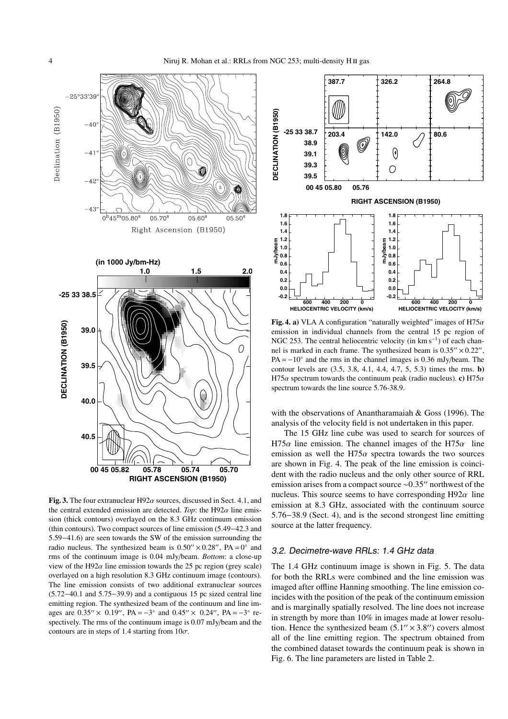

**Fig. 3.** The four extranuclear  $H92\alpha$  sources, discussed in Sect. 4.1, and the central extended emission are detected. *Top*: the H92 $\alpha$  line emission (thick contours) overlayed on the 8.3 GHz continuum emission (thin contours). Two compact sources of line emission (5.49−42.3 and 5.59−41.6) are seen towards the SW of the emission surrounding the radio nucleus. The synthesized beam is  $0.50'' \times 0.28''$ ,  $PA = 0°$  and rms of the continuum image is 0.04 mJy/beam. *Bottom*: a close-up view of the H92 $\alpha$  line emission towards the 25 pc region (grey scale) overlayed on a high resolution 8.3 GHz continuum image (contours). The line emission consists of two additional extranuclear sources (5.72−40.1 and 5.75−39.9) and a contiguous 15 pc sized central line emitting region. The synthesized beam of the continuum and line images are  $0.35'' \times 0.19''$ , PA =  $-3°$  and  $0.45'' \times 0.24''$ , PA =  $-3°$  respectively. The rms of the continuum image is 0.07 mJy/beam and the contours are in steps of 1.4 starting from  $10\sigma$ .



**Fig. 4. a)** VLA A configuration "naturally weighted" images of H75 $\alpha$ emission in individual channels from the central 15 pc region of NGC 253. The central heliocentric velocity (in km s<sup>−1</sup>) of each channel is marked in each frame. The synthesized beam is  $0.35'' \times 0.22''$ ,  $PA = -10°$  and the rms in the channel images is 0.36 mJy/beam. The contour levels are (3.5, 3.8, 4.1, 4.4, 4.7, 5, 5.3) times the rms. **b)** H75 $\alpha$  spectrum towards the continuum peak (radio nucleus). **c**) H75 $\alpha$ spectrum towards the line source 5.76-38.9.

with the observations of Anantharamaiah & Goss (1996). The analysis of the velocity field is not undertaken in this paper.

The 15 GHz line cube was used to search for sources of H75 $\alpha$  line emission. The channel images of the H75 $\alpha$  line emission as well the H75 $\alpha$  spectra towards the two sources are shown in Fig. 4. The peak of the line emission is coincident with the radio nucleus and the only other source of RRL emission arises from a compact source ~0.35" northwest of the nucleus. This source seems to have corresponding  $H92\alpha$  line emission at 8.3 GHz, associated with the continuum source 5.76−38.9 (Sect. 4), and is the second strongest line emitting source at the latter frequency.

#### 3.2. Decimetre-wave RRLs: 1.4 GHz data

The 1.4 GHz continuum image is shown in Fig. 5. The data for both the RRLs were combined and the line emission was imaged after offline Hanning smoothing. The line emission coincides with the position of the peak of the continuum emission and is marginally spatially resolved. The line does not increase in strength by more than 10% in images made at lower resolution. Hence the synthesized beam  $(5.1'' \times 3.8'')$  covers almost all of the line emitting region. The spectrum obtained from the combined dataset towards the continuum peak is shown in Fig. 6. The line parameters are listed in Table 2.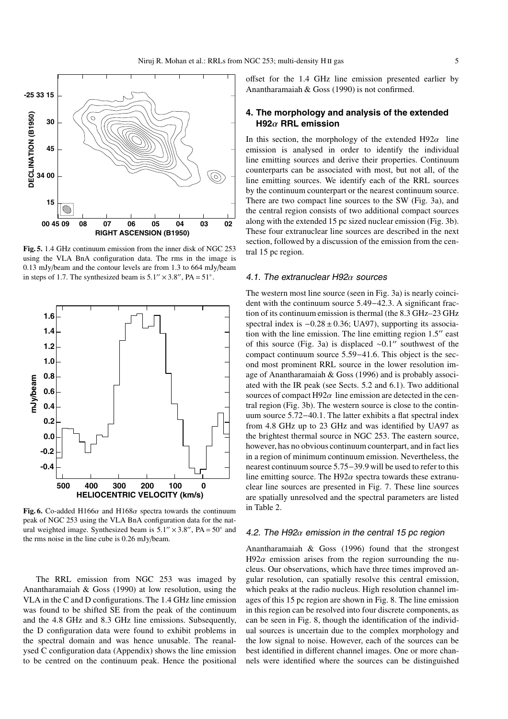

**Fig. 5.** 1.4 GHz continuum emission from the inner disk of NGC 253 using the VLA BnA configuration data. The rms in the image is 0.13 mJy/beam and the contour levels are from 1.3 to 664 mJy/beam in steps of 1.7. The synthesized beam is  $5.1'' \times 3.8''$ ,  $PA = 51°$ .



**Fig. 6.** Co-added H166 $\alpha$  and H168 $\alpha$  spectra towards the continuum peak of NGC 253 using the VLA BnA configuration data for the natural weighted image. Synthesized beam is  $5.1'' \times 3.8''$ ,  $PA = 50^{\circ}$  and the rms noise in the line cube is 0.26 mJy/beam.

The RRL emission from NGC 253 was imaged by Anantharamaiah & Goss (1990) at low resolution, using the VLA in the C and D configurations. The 1.4 GHz line emission was found to be shifted SE from the peak of the continuum and the 4.8 GHz and 8.3 GHz line emissions. Subsequently, the D configuration data were found to exhibit problems in the spectral domain and was hence unusable. The reanalysed C configuration data (Appendix) shows the line emission to be centred on the continuum peak. Hence the positional offset for the 1.4 GHz line emission presented earlier by Anantharamaiah & Goss (1990) is not confirmed.

# **4. The morphology and analysis of the extended H92**α **RRL emission**

In this section, the morphology of the extended  $H92\alpha$  line emission is analysed in order to identify the individual line emitting sources and derive their properties. Continuum counterparts can be associated with most, but not all, of the line emitting sources. We identify each of the RRL sources by the continuum counterpart or the nearest continuum source. There are two compact line sources to the SW (Fig. 3a), and the central region consists of two additional compact sources along with the extended 15 pc sized nuclear emission (Fig. 3b). These four extranuclear line sources are described in the next section, followed by a discussion of the emission from the central 15 pc region.

### 4.1. The extranuclear H92 $\alpha$  sources

The western most line source (seen in Fig. 3a) is nearly coincident with the continuum source 5.49−42.3. A significant fraction of its continuum emission is thermal (the 8.3 GHz–23 GHz spectral index is  $-0.28 \pm 0.36$ ; UA97), supporting its association with the line emission. The line emitting region 1.5" east of this source (Fig. 3a) is displaced ~0.1" southwest of the compact continuum source 5.59−41.6. This object is the second most prominent RRL source in the lower resolution image of Anantharamaiah & Goss (1996) and is probably associated with the IR peak (see Sects. 5.2 and 6.1). Two additional sources of compact H92 $\alpha$  line emission are detected in the central region (Fig. 3b). The western source is close to the continuum source 5.72−40.1. The latter exhibits a flat spectral index from 4.8 GHz up to 23 GHz and was identified by UA97 as the brightest thermal source in NGC 253. The eastern source, however, has no obvious continuum counterpart, and in fact lies in a region of minimum continuum emission. Nevertheless, the nearest continuum source 5.75−39.9 will be used to refer to this line emitting source. The H92 $\alpha$  spectra towards these extranuclear line sources are presented in Fig. 7. These line sources are spatially unresolved and the spectral parameters are listed in Table 2.

# 4.2. The H92 $\alpha$  emission in the central 15 pc region

Anantharamaiah & Goss (1996) found that the strongest H92 $\alpha$  emission arises from the region surrounding the nucleus. Our observations, which have three times improved angular resolution, can spatially resolve this central emission, which peaks at the radio nucleus. High resolution channel images of this 15 pc region are shown in Fig. 8. The line emission in this region can be resolved into four discrete components, as can be seen in Fig. 8, though the identification of the individual sources is uncertain due to the complex morphology and the low signal to noise. However, each of the sources can be best identified in different channel images. One or more channels were identified where the sources can be distinguished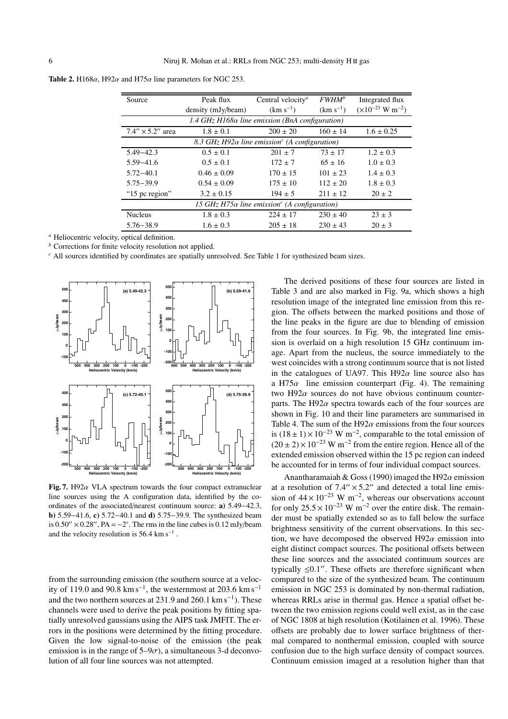| Source                    | Peak flux                                                 | Central velocity <sup><i>a</i></sup>                              | $FWHM^b$      | Integrated flux                      |
|---------------------------|-----------------------------------------------------------|-------------------------------------------------------------------|---------------|--------------------------------------|
|                           | density (mJy/beam)                                        | $(km s^{-1})$                                                     | $(km s^{-1})$ | $(\times 10^{-23} \text{ W m}^{-2})$ |
|                           | 1.4 $GHz$ H168 $\alpha$ line emission (BnA configuration) |                                                                   |               |                                      |
| $7.4'' \times 5.2''$ area | $1.8 \pm 0.1$                                             | $200 \pm 20$                                                      | $160 \pm 14$  | $1.6 \pm 0.25$                       |
|                           |                                                           | 8.3 GHz H92 $\alpha$ line emission <sup>c</sup> (A configuration) |               |                                      |
| $5.49 - 42.3$             | $0.5 \pm 0.1$                                             | $201 \pm 7$                                                       | $73 + 17$     | $1.2 \pm 0.3$                        |
| $5.59 - 41.6$             | $0.5 \pm 0.1$                                             | $172 \pm 7$                                                       | $65 \pm 16$   | $1.0 \pm 0.3$                        |
| $5.72 - 40.1$             | $0.46 \pm 0.09$                                           | $170 \pm 15$                                                      | $101 \pm 23$  | $1.4 \pm 0.3$                        |
| $5.75 - 39.9$             | $0.54 \pm 0.09$                                           | $175 \pm 10$                                                      | $112 \pm 20$  | $1.8 \pm 0.3$                        |
| "15 pc region"            | $3.2 \pm 0.15$                                            | $194 \pm 5$                                                       | $211 + 12$    | $20 \pm 2$                           |
|                           |                                                           | 15 GHz H75 $\alpha$ line emission <sup>c</sup> (A configuration)  |               |                                      |
| <b>Nucleus</b>            | $1.8 \pm 0.3$                                             | $224 \pm 17$                                                      | $230 \pm 40$  | $23 \pm 3$                           |
| $5.76 - 38.9$             | $1.6 \pm 0.3$                                             | $205 \pm 18$                                                      | $230 \pm 43$  | $20 \pm 3$                           |

**Table 2.** H168 $\alpha$ , H92 $\alpha$  and H75 $\alpha$  line parameters for NGC 253.

*<sup>a</sup>* Heliocentric velocity, optical definition.

*<sup>b</sup>* Corrections for finite velocity resolution not applied.

*<sup>c</sup>* All sources identified by coordinates are spatially unresolved. See Table 1 for synthesized beam sizes.



**Fig. 7.** H92 $\alpha$  VLA spectrum towards the four compact extranuclear line sources using the A configuration data, identified by the coordinates of the associated/nearest continuum source: **a)** 5.49−42.3, **b)** 5.59−41.6, **c)** 5.72−40.1 and **d)** 5.75−39.9. The synthesized beam is  $0.50'' \times 0.28''$ , PA =  $-2°$ . The rms in the line cubes is  $0.12 \text{ mJy/beam}$ and the velocity resolution is  $56.4 \text{ km s}^{-1}$ .

from the surrounding emission (the southern source at a velocity of 119.0 and 90.8 km s<sup>-1</sup>, the westernmost at 203.6 km s<sup>-1</sup> and the two northern sources at 231.9 and 260.1 km s−1). These channels were used to derive the peak positions by fitting spatially unresolved gaussians using the AIPS task JMFIT. The errors in the positions were determined by the fitting procedure. Given the low signal-to-noise of the emission (the peak emission is in the range of  $5-9\sigma$ ), a simultaneous 3-d deconvolution of all four line sources was not attempted.

The derived positions of these four sources are listed in Table 3 and are also marked in Fig. 9a, which shows a high resolution image of the integrated line emission from this region. The offsets between the marked positions and those of the line peaks in the figure are due to blending of emission from the four sources. In Fig. 9b, the integrated line emission is overlaid on a high resolution 15 GHz continuum image. Apart from the nucleus, the source immediately to the west coincides with a strong continuum source that is not listed in the catalogues of UA97. This H92 $\alpha$  line source also has a H75 $\alpha$  line emission counterpart (Fig. 4). The remaining two H92 $\alpha$  sources do not have obvious continuum counterparts. The H92 $\alpha$  spectra towards each of the four sources are shown in Fig. 10 and their line parameters are summarised in Table 4. The sum of the H92 $\alpha$  emissions from the four sources is  $(18 \pm 1) \times 10^{-23}$  W m<sup>-2</sup>, comparable to the total emission of  $(20 \pm 2) \times 10^{-23}$  W m<sup>-2</sup> from the entire region. Hence all of the extended emission observed within the 15 pc region can indeed be accounted for in terms of four individual compact sources.

Anantharamaiah & Goss (1990) imaged the H92 $\alpha$  emission at a resolution of  $7.4'' \times 5.2''$  and detected a total line emission of  $44 \times 10^{-23}$  W m<sup>-2</sup>, whereas our observations account for only  $25.5 \times 10^{-23}$  W m<sup>-2</sup> over the entire disk. The remainder must be spatially extended so as to fall below the surface brightness sensitivity of the current observations. In this section, we have decomposed the observed H92 $\alpha$  emission into eight distinct compact sources. The positional offsets between these line sources and the associated continuum sources are typically  $\leq 0.1$ ". These offsets are therefore significant when compared to the size of the synthesized beam. The continuum emission in NGC 253 is dominated by non-thermal radiation, whereas RRLs arise in thermal gas. Hence a spatial offset between the two emission regions could well exist, as in the case of NGC 1808 at high resolution (Kotilainen et al. 1996). These offsets are probably due to lower surface brightness of thermal compared to nonthermal emission, coupled with source confusion due to the high surface density of compact sources. Continuum emission imaged at a resolution higher than that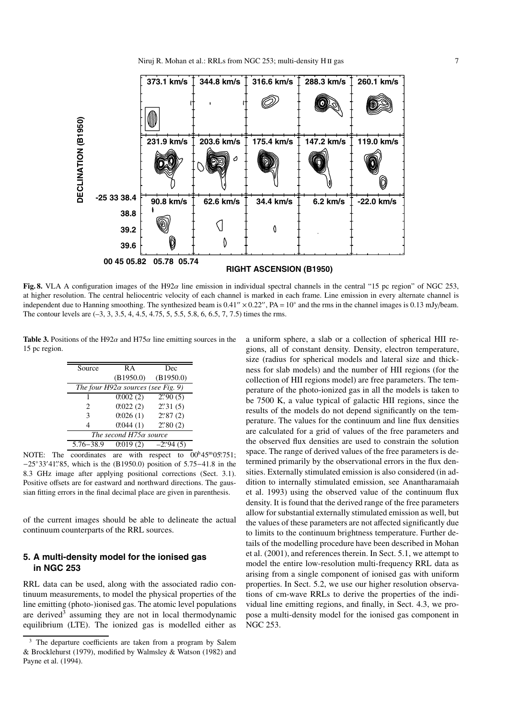

**Fig. 8.** VLA A configuration images of the H92 $\alpha$  line emission in individual spectral channels in the central "15 pc region" of NGC 253, at higher resolution. The central heliocentric velocity of each channel is marked in each frame. Line emission in every alternate channel is independent due to Hanning smoothing. The synthesized beam is  $0.41'' \times 0.22''$ ,  $PA = 10°$  and the rms in the channel images is  $0.13$  mJy/beam. The contour levels are (–3, 3, 3.5, 4, 4.5, 4.75, 5, 5.5, 5.8, 6, 6.5, 7, 7.5) times the rms.

**Table 3.** Positions of the H92 $\alpha$  and H75 $\alpha$  line emitting sources in the 15 pc region.

| Source                      | RА                                        | Dec                               |
|-----------------------------|-------------------------------------------|-----------------------------------|
|                             | (B1950.0)                                 | (B1950.0)                         |
|                             | The four $H92\alpha$ sources (see Fig. 9) |                                   |
|                             | 0.002(2)                                  | $2\rlap{.}^{\prime\prime}90\,(5)$ |
| $\mathcal{D}_{\mathcal{L}}$ | 0.022(2)                                  | 2''31(5)                          |
| 3                           | 0.026(1)                                  | $2\rlap{.}^{\prime\prime}87(2)$   |
| 4                           | 0.044(1)                                  | $2\rlap{.}^{\prime\prime}80(2)$   |
|                             | The second H75 $\alpha$ source            |                                   |
| $5.76 - 38.9$               | 0.019(2)                                  | $-2$ ''94 $(5)$                   |

NOTE: The coordinates are with respect to  $00^{\text{h}}45^{\text{m}}05\rlap{.}^{\text{m}}3751$ ; −25◦33- 41. --85, which is the (B1950.0) position of 5.75−41.8 in the 8.3 GHz image after applying positional corrections (Sect. 3.1). Positive offsets are for eastward and northward directions. The gaussian fitting errors in the final decimal place are given in parenthesis.

of the current images should be able to delineate the actual continuum counterparts of the RRL sources.

# **5. A multi-density model for the ionised gas in NGC 253**

RRL data can be used, along with the associated radio continuum measurements, to model the physical properties of the line emitting (photo-)ionised gas. The atomic level populations are derived<sup>3</sup> assuming they are not in local thermodynamic equilibrium (LTE). The ionized gas is modelled either as a uniform sphere, a slab or a collection of spherical HII regions, all of constant density. Density, electron temperature, size (radius for spherical models and lateral size and thickness for slab models) and the number of HII regions (for the collection of HII regions model) are free parameters. The temperature of the photo-ionized gas in all the models is taken to be 7500 K, a value typical of galactic HII regions, since the results of the models do not depend significantly on the temperature. The values for the continuum and line flux densities are calculated for a grid of values of the free parameters and the observed flux densities are used to constrain the solution space. The range of derived values of the free parameters is determined primarily by the observational errors in the flux densities. Externally stimulated emission is also considered (in addition to internally stimulated emission, see Anantharamaiah et al. 1993) using the observed value of the continuum flux density. It is found that the derived range of the free parameters allow for substantial externally stimulated emission as well, but the values of these parameters are not affected significantly due to limits to the continuum brightness temperature. Further details of the modelling procedure have been described in Mohan et al. (2001), and references therein. In Sect. 5.1, we attempt to model the entire low-resolution multi-frequency RRL data as arising from a single component of ionised gas with uniform properties. In Sect. 5.2, we use our higher resolution observations of cm-wave RRLs to derive the properties of the individual line emitting regions, and finally, in Sect. 4.3, we propose a multi-density model for the ionised gas component in NGC 253.

The departure coefficients are taken from a program by Salem & Brocklehurst (1979), modified by Walmsley & Watson (1982) and Payne et al. (1994).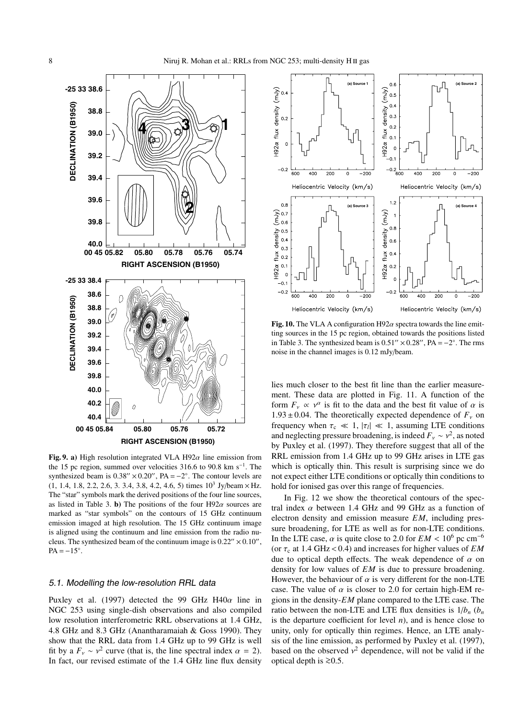

**Fig. 9. a)** High resolution integrated VLA H92 $\alpha$  line emission from the 15 pc region, summed over velocities 316.6 to 90.8 km s<sup>-1</sup>. The synthesized beam is  $0.38'' \times 0.20''$ , PA =  $-2°$ . The contour levels are  $(1, 1.4, 1.8, 2.2, 2.6, 3.3.4, 3.8, 4.2, 4.6, 5)$  times  $10<sup>3</sup>$  Jy/beam  $\times$  Hz. The "star" symbols mark the derived positions of the four line sources, as listed in Table 3. **b**) The positions of the four  $H92\alpha$  sources are marked as "star symbols" on the contours of 15 GHz continuum emission imaged at high resolution. The 15 GHz continuum image is aligned using the continuum and line emission from the radio nucleus. The synthesized beam of the continuum image is  $0.22'' \times 0.10''$ ,  $PA = -15^\circ$ .

# 5.1. Modelling the low-resolution RRL data

Puxley et al. (1997) detected the 99 GHz H40 $\alpha$  line in NGC 253 using single-dish observations and also compiled low resolution interferometric RRL observations at 1.4 GHz, 4.8 GHz and 8.3 GHz (Anantharamaiah & Goss 1990). They show that the RRL data from 1.4 GHz up to 99 GHz is well fit by a  $F_v \sim v^2$  curve (that is, the line spectral index  $\alpha = 2$ ). In fact, our revised estimate of the 1.4 GHz line flux density



**Fig. 10.** The VLA A configuration  $H92\alpha$  spectra towards the line emitting sources in the 15 pc region, obtained towards the positions listed in Table 3. The synthesized beam is  $0.51'' \times 0.28''$ , PA =  $-2^\circ$ . The rms noise in the channel images is 0.12 mJy/beam.

lies much closer to the best fit line than the earlier measurement. These data are plotted in Fig. 11. A function of the form  $F_v \propto v^{\alpha}$  is fit to the data and the best fit value of  $\alpha$  is  $1.93 \pm 0.04$ . The theoretically expected dependence of  $F_v$  on frequency when  $\tau_c \ll 1$ ,  $|\tau_l| \ll 1$ , assuming LTE conditions and neglecting pressure broadening, is indeed  $F_v \sim v^2$ , as noted by Puxley et al. (1997). They therefore suggest that all of the RRL emission from 1.4 GHz up to 99 GHz arises in LTE gas which is optically thin. This result is surprising since we do not expect either LTE conditions or optically thin conditions to hold for ionised gas over this range of frequencies.

In Fig. 12 we show the theoretical contours of the spectral index  $\alpha$  between 1.4 GHz and 99 GHz as a function of electron density and emission measure *EM*, including pressure broadening, for LTE as well as for non-LTE conditions. In the LTE case,  $\alpha$  is quite close to 2.0 for *EM* < 10<sup>6</sup> pc cm<sup>-6</sup> (or  $\tau_c$  at 1.4 GHz < 0.4) and increases for higher values of *EM* due to optical depth effects. The weak dependence of  $\alpha$  on density for low values of *EM* is due to pressure broadening. However, the behaviour of  $\alpha$  is very different for the non-LTE case. The value of  $\alpha$  is closer to 2.0 for certain high-EM regions in the density-*EM* plane compared to the LTE case. The ratio between the non-LTE and LTE flux densities is  $1/b_n$  ( $b_n$ is the departure coefficient for level *n*), and is hence close to unity, only for optically thin regimes. Hence, an LTE analysis of the line emission, as performed by Puxley et al. (1997), based on the observed  $v^2$  dependence, will not be valid if the optical depth is  $≥0.5$ .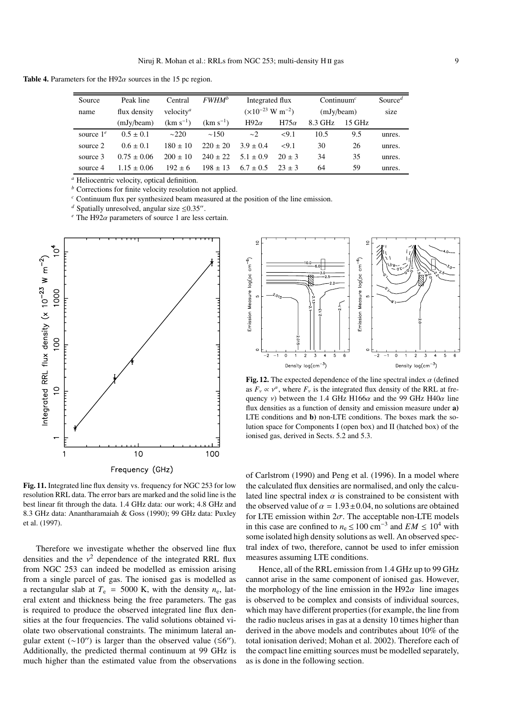**Table 4.** Parameters for the H92 $\alpha$  sources in the 15 pc region.

| Source       | Peak line       | Central                      | $FWHM^b$      | Integrated flux                      |             | Continuum <sup>c</sup> |        | Source <sup><math>d</math></sup> |
|--------------|-----------------|------------------------------|---------------|--------------------------------------|-------------|------------------------|--------|----------------------------------|
| name         | flux density    | velocity <sup><i>a</i></sup> |               | $(\times 10^{-23} \text{ W m}^{-2})$ |             | (mJy/beam)             |        | size                             |
|              | (mJy/beam)      | $(km s^{-1})$                | $(km s^{-1})$ | H92 $\alpha$                         | $H75\alpha$ | 8.3 GHz                | 15 GHz |                                  |
| source $1^e$ | $0.5 \pm 0.1$   | $\sim$ 220                   | $\sim$ 150    | $\sim$ 2                             | <9.1        | 10.5                   | 9.5    | unres.                           |
| source 2     | $0.6 + 0.1$     | $180 \pm 10$                 | $220 + 20$    | $3.9 \pm 0.4$                        | <9.1        | 30                     | 26     | unres.                           |
| source 3     | $0.75 + 0.06$   | $200 \pm 10$                 | $240 \pm 22$  | $5.1 \pm 0.9$                        | $20 + 3$    | 34                     | 35     | unres.                           |
| source 4     | $1.15 \pm 0.06$ | $192 \pm 6$                  | $198 \pm 13$  | $6.7 + 0.5$                          | $23 + 3$    | 64                     | 59     | unres.                           |

*<sup>a</sup>* Heliocentric velocity, optical definition.

*<sup>b</sup>* Corrections for finite velocity resolution not applied.

*<sup>c</sup>* Continuum flux per synthesized beam measured at the position of the line emission.

*d* Spatially unresolved, angular size  $\leq 0.35$ ".

 $e^e$  The H92 $\alpha$  parameters of source 1 are less certain.



**Fig. 11.** Integrated line flux density vs. frequency for NGC 253 for low resolution RRL data. The error bars are marked and the solid line is the best linear fit through the data. 1.4 GHz data: our work; 4.8 GHz and 8.3 GHz data: Anantharamaiah & Goss (1990); 99 GHz data: Puxley et al. (1997).

Therefore we investigate whether the observed line flux densities and the  $v^2$  dependence of the integrated RRL flux from NGC 253 can indeed be modelled as emission arising from a single parcel of gas. The ionised gas is modelled as a rectangular slab at  $T_e$  = 5000 K, with the density  $n_e$ , lateral extent and thickness being the free parameters. The gas is required to produce the observed integrated line flux densities at the four frequencies. The valid solutions obtained violate two observational constraints. The minimum lateral angular extent  $({\sim}10'')$  is larger than the observed value  $({\le}6'')$ . Additionally, the predicted thermal continuum at 99 GHz is much higher than the estimated value from the observations



**Fig. 12.** The expected dependence of the line spectral index  $\alpha$  (defined as  $F_v \propto v^{\alpha}$ , where  $F_v$  is the integrated flux density of the RRL at frequency *v*) between the 1.4 GHz H166 $\alpha$  and the 99 GHz H40 $\alpha$  line flux densities as a function of density and emission measure under **a)** LTE conditions and **b)** non-LTE conditions. The boxes mark the solution space for Components I (open box) and II (hatched box) of the ionised gas, derived in Sects. 5.2 and 5.3.

of Carlstrom (1990) and Peng et al. (1996). In a model where the calculated flux densities are normalised, and only the calculated line spectral index  $\alpha$  is constrained to be consistent with the observed value of  $\alpha = 1.93 \pm 0.04$ , no solutions are obtained for LTE emission within  $2\sigma$ . The acceptable non-LTE models in this case are confined to  $n_e \le 100$  cm<sup>-3</sup> and  $EM \le 10^4$  with some isolated high density solutions as well. An observed spectral index of two, therefore, cannot be used to infer emission measures assuming LTE conditions.

Hence, all of the RRL emission from 1.4 GHz up to 99 GHz cannot arise in the same component of ionised gas. However, the morphology of the line emission in the H92 $\alpha$  line images is observed to be complex and consists of individual sources, which may have different properties (for example, the line from the radio nucleus arises in gas at a density 10 times higher than derived in the above models and contributes about 10% of the total ionisation derived; Mohan et al. 2002). Therefore each of the compact line emitting sources must be modelled separately, as is done in the following section.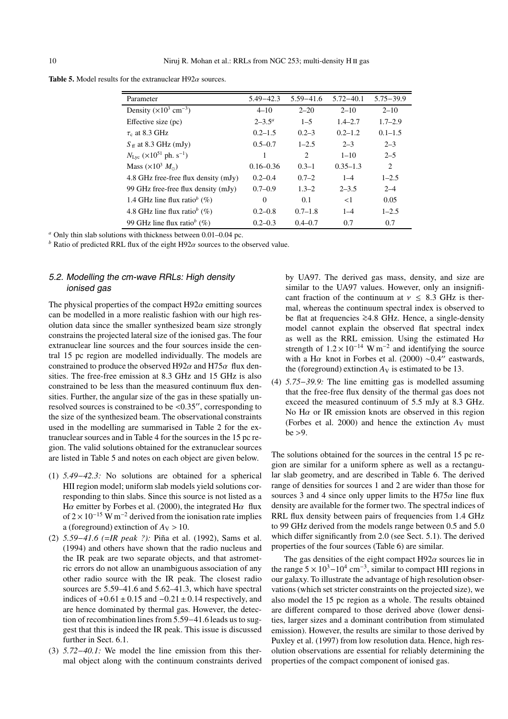**Table 5.** Model results for the extranuclear  $H92\alpha$  sources.

| Parameter                                                 | $5.49 - 42.3$ | $5.59 - 41.6$  | $5.72 - 40.1$ | $5.75 - 39.9$               |
|-----------------------------------------------------------|---------------|----------------|---------------|-----------------------------|
| Density $(\times 10^3 \text{ cm}^{-3})$                   | $4 - 10$      | $2 - 20$       | $2 - 10$      | $2 - 10$                    |
| Effective size (pc)                                       | $2 - 3.5^a$   | $1 - 5$        | $1.4 - 2.7$   | $1.7 - 2.9$                 |
| $\tau_c$ at 8.3 GHz                                       | $0.2 - 1.5$   | $0.2 - 3$      | $0.2 - 1.2$   | $0.1 - 1.5$                 |
| $S_{\text{ff}}$ at 8.3 GHz (mJy)                          | $0.5 - 0.7$   | $1 - 2.5$      | $2 - 3$       | $2 - 3$                     |
| $N_{\text{Lyc}}$ (×10 <sup>51</sup> ph. s <sup>-1</sup> ) |               | $\overline{c}$ | $1 - 10$      | $2 - 5$                     |
| Mass $(\times 10^3 M_{\odot})$                            | $0.16 - 0.36$ | $0.3 - 1$      | $0.35 - 1.3$  | $\mathcal{D}_{\mathcal{L}}$ |
| 4.8 GHz free-free flux density (mJy)                      | $0.2 - 0.4$   | $0.7 - 2$      | $1 - 4$       | $1 - 2.5$                   |
| 99 GHz free-free flux density (mJy)                       | $0.7 - 0.9$   | $1.3 - 2$      | $2 - 3.5$     | $2 - 4$                     |
| 1.4 GHz line flux ratio <sup>b</sup> $(\%)$               | $\Omega$      | 0.1            | $\leq$ 1      | 0.05                        |
| 4.8 GHz line flux ratio <sup>b</sup> $(\%)$               | $0.2 - 0.8$   | $0.7 - 1.8$    | $1 - 4$       | $1 - 2.5$                   |
| 99 GHz line flux ratio <sup>b</sup> $(\%)$                | $0.2 - 0.3$   | $0.4 - 0.7$    | 0.7           | 0.7                         |

*<sup>a</sup>* Only thin slab solutions with thickness between 0.01–0.04 pc.

*b* Ratio of predicted RRL flux of the eight H92 $\alpha$  sources to the observed value.

# 5.2. Modelling the cm-wave RRLs: High density ionised gas

The physical properties of the compact  $H92\alpha$  emitting sources can be modelled in a more realistic fashion with our high resolution data since the smaller synthesized beam size strongly constrains the projected lateral size of the ionised gas. The four extranuclear line sources and the four sources inside the central 15 pc region are modelled individually. The models are constrained to produce the observed H92 $\alpha$  and H75 $\alpha$  flux densities. The free-free emission at 8.3 GHz and 15 GHz is also constrained to be less than the measured continuum flux densities. Further, the angular size of the gas in these spatially unresolved sources is constrained to be <0.35", corresponding to the size of the synthesized beam. The observational constraints used in the modelling are summarised in Table 2 for the extranuclear sources and in Table 4 for the sources in the 15 pc region. The valid solutions obtained for the extranuclear sources are listed in Table 5 and notes on each object are given below.

- (1) *5.49*−*42.3:* No solutions are obtained for a spherical HII region model; uniform slab models yield solutions corresponding to thin slabs. Since this source is not listed as a H $\alpha$  emitter by Forbes et al. (2000), the integrated H $\alpha$  flux of  $2 \times 10^{-15}$  W m<sup>-2</sup> derived from the ionisation rate implies a (foreground) extinction of  $A_V > 10$ .
- (2) *5.59*−*41.6 (*=*IR peak ?):* Piña et al. (1992), Sams et al. (1994) and others have shown that the radio nucleus and the IR peak are two separate objects, and that astrometric errors do not allow an unambiguous association of any other radio source with the IR peak. The closest radio sources are 5.59–41.6 and 5.62–41.3, which have spectral indices of  $+0.61 \pm 0.15$  and  $-0.21 \pm 0.14$  respectively, and are hence dominated by thermal gas. However, the detection of recombination lines from 5.59−41.6 leads us to suggest that this is indeed the IR peak. This issue is discussed further in Sect. 6.1.
- (3) *5.72*−*40.1:* We model the line emission from this thermal object along with the continuum constraints derived

by UA97. The derived gas mass, density, and size are similar to the UA97 values. However, only an insignificant fraction of the continuum at  $v \leq 8.3$  GHz is thermal, whereas the continuum spectral index is observed to be flat at frequencies <sup>&</sup>gt;∼4.8 GHz. Hence, a single-density model cannot explain the observed flat spectral index as well as the RRL emission. Using the estimated  $H\alpha$ strength of  $1.2 \times 10^{-14}$  W m<sup>-2</sup> and identifying the source with a H $\alpha$  knot in Forbes et al. (2000) ~0.4" eastwards, the (foreground) extinction  $A_V$  is estimated to be 13.

(4) *5.75*−*39.9:* The line emitting gas is modelled assuming that the free-free flux density of the thermal gas does not exceed the measured continuum of 5.5 mJy at 8.3 GHz. No H $\alpha$  or IR emission knots are observed in this region (Forbes et al. 2000) and hence the extinction  $A_V$  must  $be > 9.$ 

The solutions obtained for the sources in the central 15 pc region are similar for a uniform sphere as well as a rectangular slab geometry, and are described in Table 6. The derived range of densities for sources 1 and 2 are wider than those for sources 3 and 4 since only upper limits to the H75 $\alpha$  line flux density are available for the former two. The spectral indices of RRL flux density between pairs of frequencies from 1.4 GHz to 99 GHz derived from the models range between 0.5 and 5.0 which differ significantly from 2.0 (see Sect. 5.1). The derived properties of the four sources (Table 6) are similar.

The gas densities of the eight compact  $H92\alpha$  sources lie in the range  $5 \times 10^3 - 10^4$  cm<sup>-3</sup>, similar to compact HII regions in our galaxy. To illustrate the advantage of high resolution observations (which set stricter constraints on the projected size), we also model the 15 pc region as a whole. The results obtained are different compared to those derived above (lower densities, larger sizes and a dominant contribution from stimulated emission). However, the results are similar to those derived by Puxley et al. (1997) from low resolution data. Hence, high resolution observations are essential for reliably determining the properties of the compact component of ionised gas.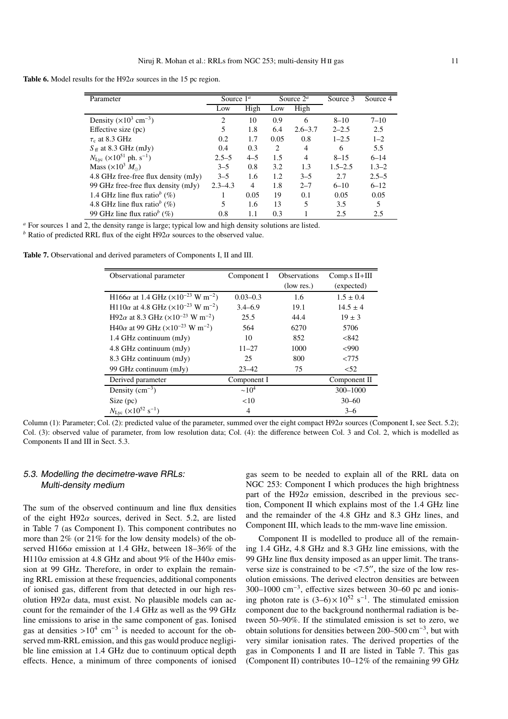**Table 6.** Model results for the H92 $\alpha$  sources in the 15 pc region.

| Parameter                                                 | Source $1^a$   |         | Source $2^a$ |                | Source 3    | Source 4  |
|-----------------------------------------------------------|----------------|---------|--------------|----------------|-------------|-----------|
|                                                           | Low            | High    | Low          | High           |             |           |
| Density $(\times 10^3 \text{ cm}^{-3})$                   | $\overline{c}$ | 10      | 0.9          | 6              | $8 - 10$    | $7 - 10$  |
| Effective size (pc)                                       | 5              | 1.8     | 6.4          | $2.6 - 3.7$    | $2 - 2.5$   | 2.5       |
| $\tau_c$ at 8.3 GHz                                       | 0.2            | 1.7     | 0.05         | 0.8            | $1 - 2.5$   | $1 - 2$   |
| $S_{\text{ff}}$ at 8.3 GHz (mJy)                          | 0.4            | 0.3     | 2            | 4              | 6           | 5.5       |
| $N_{\text{Lyc}}$ (×10 <sup>51</sup> ph. s <sup>-1</sup> ) | $2.5 - 5$      | $4 - 5$ | 1.5          | $\overline{4}$ | $8 - 15$    | $6 - 14$  |
| Mass $(\times 10^3 M_{\odot})$                            | $3 - 5$        | 0.8     | 3.2          | 1.3            | $1.5 - 2.5$ | $1.3 - 2$ |
| 4.8 GHz free-free flux density (mJy)                      | $3 - 5$        | 1.6     | 1.2          | $3 - 5$        | 2.7         | $2.5 - 5$ |
| 99 GHz free-free flux density (mJy)                       | $2.3 - 4.3$    | 4       | 1.8          | $2 - 7$        | $6 - 10$    | $6 - 12$  |
| 1.4 GHz line flux ratio <sup>b</sup> $(\%)$               |                | 0.05    | 19           | 0.1            | 0.05        | 0.05      |
| 4.8 GHz line flux ratio <sup>b</sup> $(\%)$               | 5              | 1.6     | 13           | 5              | 3.5         | 5         |
| 99 GHz line flux ratio <sup>b</sup> $(\%)$                | 0.8            | 1.1     | 0.3          |                | 2.5         | 2.5       |

*<sup>a</sup>* For sources 1 and 2, the density range is large; typical low and high density solutions are listed.

*b* Ratio of predicted RRL flux of the eight H92 $\alpha$  sources to the observed value.

**Table 7.** Observational and derived parameters of Components I, II and III.

| Observational parameter                                                   | Component I  | <b>Observations</b> | Comp.s II+III |
|---------------------------------------------------------------------------|--------------|---------------------|---------------|
|                                                                           |              | (low res.)          | (expected)    |
| H166 $\alpha$ at 1.4 GHz ( $\times$ 10 <sup>-23</sup> W m <sup>-2</sup> ) | $0.03 - 0.3$ | 1.6                 | $1.5 \pm 0.4$ |
| H110 $\alpha$ at 4.8 GHz ( $\times$ 10 <sup>-23</sup> W m <sup>-2</sup> ) | $3.4 - 6.9$  | 19.1                | $14.5 \pm 4$  |
| H92 $\alpha$ at 8.3 GHz ( $\times$ 10 <sup>-23</sup> W m <sup>-2</sup> )  | 25.5         | 44.4                | $19 \pm 3$    |
| H40 $\alpha$ at 99 GHz ( $\times$ 10 <sup>-23</sup> W m <sup>-2</sup> )   | 564          | 6270                | 5706          |
| $1.4$ GHz continuum (mJy)                                                 | 10           | 852                 | < 842         |
| 4.8 GHz continuum (mJy)                                                   | $11 - 27$    | 1000                | <990          |
| 8.3 GHz continuum (mJy)                                                   | 25           | 800                 | < 775         |
| 99 GHz continuum (mJy)                                                    | $23 - 42$    | 75                  | < 52          |
| Derived parameter                                                         | Component I  |                     | Component II  |
| Density $(cm^{-3})$                                                       | $\sim 10^4$  |                     | 300-1000      |
| Size (pc)                                                                 | <10          |                     | $30 - 60$     |
| $N_{\text{Lyc}}$ (×10 <sup>52</sup> s <sup>-1</sup> )                     | 4            |                     | $3 - 6$       |

Column (1): Parameter; Col. (2): predicted value of the parameter, summed over the eight compact H92 $\alpha$  sources (Component I, see Sect. 5.2); Col. (3): observed value of parameter, from low resolution data; Col. (4): the difference between Col. 3 and Col. 2, which is modelled as Components II and III in Sect. 5.3.

# 5.3. Modelling the decimetre-wave RRLs: Multi-density medium

The sum of the observed continuum and line flux densities of the eight H92 $\alpha$  sources, derived in Sect. 5.2, are listed in Table 7 (as Component I). This component contributes no more than 2% (or 21% for the low density models) of the observed H166 $\alpha$  emission at 1.4 GHz, between 18–36% of the H110 $\alpha$  emission at 4.8 GHz and about 9% of the H40 $\alpha$  emission at 99 GHz. Therefore, in order to explain the remaining RRL emission at these frequencies, additional components of ionised gas, different from that detected in our high resolution H92 $\alpha$  data, must exist. No plausible models can account for the remainder of the 1.4 GHz as well as the 99 GHz line emissions to arise in the same component of gas. Ionised gas at densities >10<sup>4</sup> cm<sup>-3</sup> is needed to account for the observed mm-RRL emission, and this gas would produce negligible line emission at 1.4 GHz due to continuum optical depth effects. Hence, a minimum of three components of ionised

gas seem to be needed to explain all of the RRL data on NGC 253: Component I which produces the high brightness part of the H92 $\alpha$  emission, described in the previous section, Component II which explains most of the 1.4 GHz line and the remainder of the 4.8 GHz and 8.3 GHz lines, and Component III, which leads to the mm-wave line emission.

Component II is modelled to produce all of the remaining 1.4 GHz, 4.8 GHz and 8.3 GHz line emissions, with the 99 GHz line flux density imposed as an upper limit. The transverse size is constrained to be  $\langle 7.5''$ , the size of the low resolution emissions. The derived electron densities are between 300–1000 cm−3, effective sizes between 30–60 pc and ionising photon rate is  $(3-6) \times 10^{52}$  s<sup>−1</sup>. The stimulated emission component due to the background nonthermal radiation is between 50–90%. If the stimulated emission is set to zero, we obtain solutions for densities between 200–500 cm−3, but with very similar ionisation rates. The derived properties of the gas in Components I and II are listed in Table 7. This gas (Component II) contributes 10–12% of the remaining 99 GHz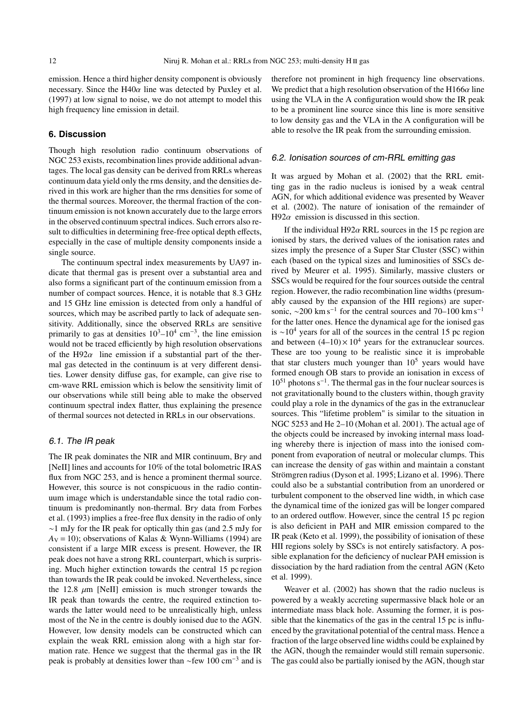emission. Hence a third higher density component is obviously necessary. Since the  $H40\alpha$  line was detected by Puxley et al. (1997) at low signal to noise, we do not attempt to model this high frequency line emission in detail.

#### **6. Discussion**

Though high resolution radio continuum observations of NGC 253 exists, recombination lines provide additional advantages. The local gas density can be derived from RRLs whereas continuum data yield only the rms density, and the densities derived in this work are higher than the rms densities for some of the thermal sources. Moreover, the thermal fraction of the continuum emission is not known accurately due to the large errors in the observed continuum spectral indices. Such errors also result to difficulties in determining free-free optical depth effects, especially in the case of multiple density components inside a single source.

The continuum spectral index measurements by UA97 indicate that thermal gas is present over a substantial area and also forms a significant part of the continuum emission from a number of compact sources. Hence, it is notable that 8.3 GHz and 15 GHz line emission is detected from only a handful of sources, which may be ascribed partly to lack of adequate sensitivity. Additionally, since the observed RRLs are sensitive primarily to gas at densities  $10^3$ – $10^4$  cm<sup>-3</sup>, the line emission would not be traced efficiently by high resolution observations of the H92 $\alpha$  line emission if a substantial part of the thermal gas detected in the continuum is at very different densities. Lower density diffuse gas, for example, can give rise to cm-wave RRL emission which is below the sensitivity limit of our observations while still being able to make the observed continuum spectral index flatter, thus explaining the presence of thermal sources not detected in RRLs in our observations.

#### 6.1. The IR peak

The IR peak dominates the NIR and MIR continuum, Brγ and [NeII] lines and accounts for 10% of the total bolometric IRAS flux from NGC 253, and is hence a prominent thermal source. However, this source is not conspicuous in the radio continuum image which is understandable since the total radio continuum is predominantly non-thermal. Brγ data from Forbes et al. (1993) implies a free-free flux density in the radio of only ∼1 mJy for the IR peak for optically thin gas (and 2.5 mJy for  $A_V = 10$ ); observations of Kalas & Wynn-Williams (1994) are consistent if a large MIR excess is present. However, the IR peak does not have a strong RRL counterpart, which is surprising. Much higher extinction towards the central 15 pc region than towards the IR peak could be invoked. Nevertheless, since the 12.8  $\mu$ m [NeII] emission is much stronger towards the IR peak than towards the centre, the required extinction towards the latter would need to be unrealistically high, unless most of the Ne in the centre is doubly ionised due to the AGN. However, low density models can be constructed which can explain the weak RRL emission along with a high star formation rate. Hence we suggest that the thermal gas in the IR peak is probably at densities lower than  $\sim$ few 100 cm<sup>-3</sup> and is therefore not prominent in high frequency line observations. We predict that a high resolution observation of the H166 $\alpha$  line using the VLA in the A configuration would show the IR peak to be a prominent line source since this line is more sensitive to low density gas and the VLA in the A configuration will be able to resolve the IR peak from the surrounding emission.

#### 6.2. Ionisation sources of cm-RRL emitting gas

It was argued by Mohan et al. (2002) that the RRL emitting gas in the radio nucleus is ionised by a weak central AGN, for which additional evidence was presented by Weaver et al. (2002). The nature of ionisation of the remainder of H92 $\alpha$  emission is discussed in this section.

If the individual H92 $\alpha$  RRL sources in the 15 pc region are ionised by stars, the derived values of the ionisation rates and sizes imply the presence of a Super Star Cluster (SSC) within each (based on the typical sizes and luminosities of SSCs derived by Meurer et al. 1995). Similarly, massive clusters or SSCs would be required for the four sources outside the central region. However, the radio recombination line widths (presumably caused by the expansion of the HII regions) are supersonic,  $\sim$ 200 km s<sup>-1</sup> for the central sources and 70–100 km s<sup>-1</sup> for the latter ones. Hence the dynamical age for the ionised gas is ∼10<sup>4</sup> years for all of the sources in the central 15 pc region and between  $(4-10) \times 10^4$  years for the extranuclear sources. These are too young to be realistic since it is improbable that star clusters much younger than  $10<sup>5</sup>$  years would have formed enough OB stars to provide an ionisation in excess of  $10<sup>51</sup>$  photons s<sup>-1</sup>. The thermal gas in the four nuclear sources is not gravitationally bound to the clusters within, though gravity could play a role in the dynamics of the gas in the extranuclear sources. This "lifetime problem" is similar to the situation in NGC 5253 and He 2–10 (Mohan et al. 2001). The actual age of the objects could be increased by invoking internal mass loading whereby there is injection of mass into the ionised component from evaporation of neutral or molecular clumps. This can increase the density of gas within and maintain a constant Strömgren radius (Dyson et al. 1995; Lizano et al. 1996). There could also be a substantial contribution from an unordered or turbulent component to the observed line width, in which case the dynamical time of the ionized gas will be longer compared to an ordered outflow. However, since the central 15 pc region is also deficient in PAH and MIR emission compared to the IR peak (Keto et al. 1999), the possibility of ionisation of these HII regions solely by SSCs is not entirely satisfactory. A possible explanation for the deficiency of nuclear PAH emission is dissociation by the hard radiation from the central AGN (Keto et al. 1999).

Weaver et al. (2002) has shown that the radio nucleus is powered by a weakly accreting supermassive black hole or an intermediate mass black hole. Assuming the former, it is possible that the kinematics of the gas in the central 15 pc is influenced by the gravitational potential of the central mass. Hence a fraction of the large observed line widths could be explained by the AGN, though the remainder would still remain supersonic. The gas could also be partially ionised by the AGN, though star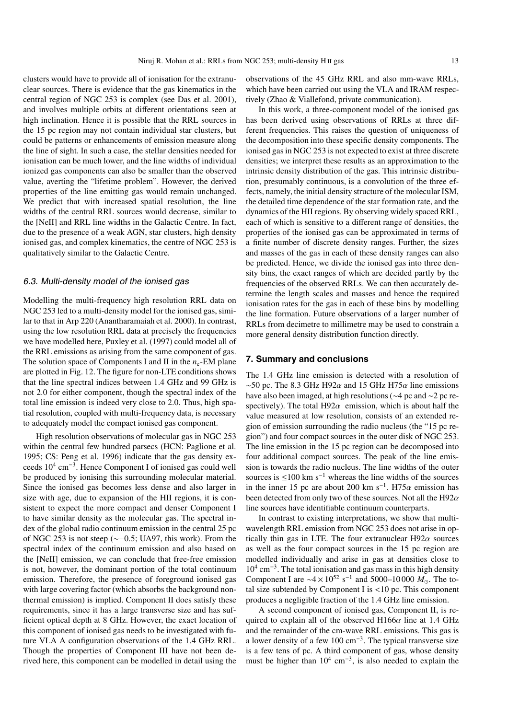clusters would have to provide all of ionisation for the extranuclear sources. There is evidence that the gas kinematics in the central region of NGC 253 is complex (see Das et al. 2001), and involves multiple orbits at different orientations seen at high inclination. Hence it is possible that the RRL sources in the 15 pc region may not contain individual star clusters, but could be patterns or enhancements of emission measure along the line of sight. In such a case, the stellar densities needed for ionisation can be much lower, and the line widths of individual ionized gas components can also be smaller than the observed value, averting the "lifetime problem". However, the derived properties of the line emitting gas would remain unchanged. We predict that with increased spatial resolution, the line widths of the central RRL sources would decrease, similar to the [NeII] and RRL line widths in the Galactic Centre. In fact, due to the presence of a weak AGN, star clusters, high density ionised gas, and complex kinematics, the centre of NGC 253 is qualitatively similar to the Galactic Centre.

#### 6.3. Multi-density model of the ionised gas

Modelling the multi-frequency high resolution RRL data on NGC 253 led to a multi-density model for the ionised gas, similar to that in Arp 220 (Anantharamaiah et al. 2000). In contrast, using the low resolution RRL data at precisely the frequencies we have modelled here, Puxley et al. (1997) could model all of the RRL emissions as arising from the same component of gas. The solution space of Components I and II in the *n*<sub>e</sub>-EM plane are plotted in Fig. 12. The figure for non-LTE conditions shows that the line spectral indices between 1.4 GHz and 99 GHz is not 2.0 for either component, though the spectral index of the total line emission is indeed very close to 2.0. Thus, high spatial resolution, coupled with multi-frequency data, is necessary to adequately model the compact ionised gas component.

High resolution observations of molecular gas in NGC 253 within the central few hundred parsecs (HCN: Paglione et al. 1995; CS: Peng et al. 1996) indicate that the gas density exceeds  $10^4$  cm<sup>-3</sup>. Hence Component I of ionised gas could well be produced by ionising this surrounding molecular material. Since the ionised gas becomes less dense and also larger in size with age, due to expansion of the HII regions, it is consistent to expect the more compact and denser Component I to have similar density as the molecular gas. The spectral index of the global radio continuum emission in the central 25 pc of NGC 253 is not steep (∼−0.5; UA97, this work). From the spectral index of the continuum emission and also based on the [NeII] emission, we can conclude that free-free emission is not, however, the dominant portion of the total continuum emission. Therefore, the presence of foreground ionised gas with large covering factor (which absorbs the background nonthermal emission) is implied. Component II does satisfy these requirements, since it has a large transverse size and has sufficient optical depth at 8 GHz. However, the exact location of this component of ionised gas needs to be investigated with future VLA A configuration observations of the 1.4 GHz RRL. Though the properties of Component III have not been derived here, this component can be modelled in detail using the

observations of the 45 GHz RRL and also mm-wave RRLs, which have been carried out using the VLA and IRAM respectively (Zhao & Viallefond, private communication).

In this work, a three-component model of the ionised gas has been derived using observations of RRLs at three different frequencies. This raises the question of uniqueness of the decomposition into these specific density components. The ionised gas in NGC 253 is not expected to exist at three discrete densities; we interpret these results as an approximation to the intrinsic density distribution of the gas. This intrinsic distribution, presumably continuous, is a convolution of the three effects, namely, the initial density structure of the molecular ISM, the detailed time dependence of the star formation rate, and the dynamics of the HII regions. By observing widely spaced RRL, each of which is sensitive to a different range of densities, the properties of the ionised gas can be approximated in terms of a finite number of discrete density ranges. Further, the sizes and masses of the gas in each of these density ranges can also be predicted. Hence, we divide the ionised gas into three density bins, the exact ranges of which are decided partly by the frequencies of the observed RRLs. We can then accurately determine the length scales and masses and hence the required ionisation rates for the gas in each of these bins by modelling the line formation. Future observations of a larger number of RRLs from decimetre to millimetre may be used to constrain a more general density distribution function directly.

#### **7. Summary and conclusions**

The 1.4 GHz line emission is detected with a resolution of ~50 pc. The 8.3 GHz H92 $\alpha$  and 15 GHz H75 $\alpha$  line emissions have also been imaged, at high resolutions (∼4 pc and ∼2 pc respectively). The total H92 $\alpha$  emission, which is about half the value measured at low resolution, consists of an extended region of emission surrounding the radio nucleus (the "15 pc region") and four compact sources in the outer disk of NGC 253. The line emission in the 15 pc region can be decomposed into four additional compact sources. The peak of the line emission is towards the radio nucleus. The line widths of the outer sources is  $≤100$  km s<sup>-1</sup> whereas the line widths of the sources in the inner 15 pc are about 200 km s<sup>-1</sup>. H75 $\alpha$  emission has been detected from only two of these sources. Not all the H92 $\alpha$ line sources have identifiable continuum counterparts.

In contrast to existing interpretations, we show that multiwavelength RRL emission from NGC 253 does not arise in optically thin gas in LTE. The four extranuclear  $H92\alpha$  sources as well as the four compact sources in the 15 pc region are modelled individually and arise in gas at densities close to  $10^4$  cm<sup>-3</sup>. The total ionisation and gas mass in this high density Component I are  $\sim$ 4 × 10<sup>52</sup> s<sup>-1</sup> and 5000–10000 *M*<sub>o</sub>. The total size subtended by Component I is  $<10$  pc. This component produces a negligible fraction of the 1.4 GHz line emission.

A second component of ionised gas, Component II, is required to explain all of the observed  $H166\alpha$  line at 1.4 GHz and the remainder of the cm-wave RRL emissions. This gas is a lower density of a few 100 cm−3. The typical transverse size is a few tens of pc. A third component of gas, whose density must be higher than  $10^4$  cm<sup>-3</sup>, is also needed to explain the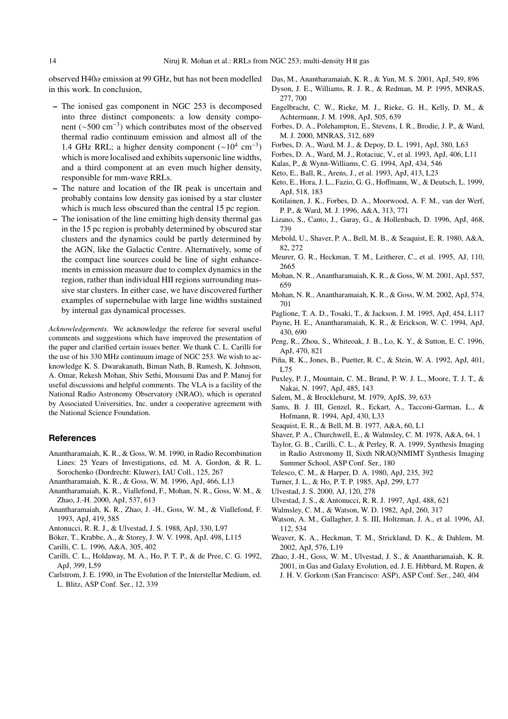observed H40 $\alpha$  emission at 99 GHz, but has not been modelled in this work. In conclusion,

- **–** The ionised gas component in NGC 253 is decomposed into three distinct components: a low density component (∼500 cm−3) which contributes most of the observed thermal radio continuum emission and almost all of the 1.4 GHz RRL; a higher density component  $(\sim 10^4 \text{ cm}^{-3})$ which is more localised and exhibits supersonic line widths, and a third component at an even much higher density, responsible for mm-wave RRLs.
- **–** The nature and location of the IR peak is uncertain and probably contains low density gas ionised by a star cluster which is much less obscured than the central 15 pc region.
- **–** The ionisation of the line emitting high density thermal gas in the 15 pc region is probably determined by obscured star clusters and the dynamics could be partly determined by the AGN, like the Galactic Centre. Alternatively, some of the compact line sources could be line of sight enhancements in emission measure due to complex dynamics in the region, rather than individual HII regions surrounding massive star clusters. In either case, we have discovered further examples of supernebulae with large line widths sustained by internal gas dynamical processes.

*Acknowledgements.* We acknowledge the referee for several useful comments and suggestions which have improved the presentation of the paper and clarified certain issues better. We thank C. L. Carilli for the use of his 330 MHz continuum image of NGC 253. We wish to acknowledge K. S. Dwarakanath, Biman Nath, B. Ramesh, K. Johnson, A. Omar, Rekesh Mohan, Shiv Sethi, Mousumi Das and P. Manoj for useful discussions and helpful comments. The VLA is a facility of the National Radio Astronomy Observatory (NRAO), which is operated by Associated Universities, Inc. under a cooperative agreement with the National Science Foundation.

#### **References**

- Anantharamaiah, K. R., & Goss, W. M. 1990, in Radio Recombination Lines: 25 Years of Investigations, ed. M. A. Gordon, & R. L. Sorochenko (Dordrecht: Kluwer), IAU Coll., 125, 267
- Anantharamaiah, K. R., & Goss, W. M. 1996, ApJ, 466, L13
- Anantharamaiah, K. R., Viallefond, F., Mohan, N. R., Goss, W. M., & Zhao, J.-H. 2000, ApJ, 537, 613
- Anantharamaiah, K. R., Zhao, J. -H., Goss, W. M., & Viallefond, F. 1993, ApJ, 419, 585
- Antonucci, R. R. J., & Ulvestad, J. S. 1988, ApJ, 330, L97
- Böker, T., Krabbe, A., & Storey, J. W. V. 1998, ApJ, 498, L115
- Carilli, C. L. 1996, A&A, 305, 402
- Carilli, C. L., Holdaway, M. A., Ho, P. T. P., & de Pree, C. G. 1992, ApJ, 399, L59
- Carlstrom, J. E. 1990, in The Evolution of the Interstellar Medium, ed. L. Blitz, ASP Conf. Ser., 12, 339
- Das, M., Anantharamaiah, K. R., & Yun, M. S. 2001, ApJ, 549, 896
- Dyson, J. E., Williams, R. J. R., & Redman, M. P. 1995, MNRAS, 277, 700
- Engelbracht, C. W., Rieke, M. J., Rieke, G. H., Kelly, D. M., & Achtermann, J. M. 1998, ApJ, 505, 639
- Forbes, D. A., Polehampton, E., Stevens, I. R., Brodie, J. P., & Ward, M. J. 2000, MNRAS, 312, 689
- Forbes, D. A., Ward, M. J., & Depoy, D. L. 1991, ApJ, 380, L63
- Forbes, D. A., Ward, M. J., Rotaciuc, V., et al. 1993, ApJ, 406, L11
- Kalas, P., & Wynn-Williams, C. G. 1994, ApJ, 434, 546
- Keto, E., Ball, R., Arens, J., et al. 1993, ApJ, 413, L23
- Keto, E., Hora, J. L., Fazio, G. G., Hoffmann, W., & Deutsch, L. 1999, ApJ, 518, 183
- Kotilainen, J. K., Forbes, D. A., Moorwood, A. F. M., van der Werf, P. P., & Ward, M. J. 1996, A&A, 313, 771
- Lizano, S., Canto, J., Garay, G., & Hollenbach, D. 1996, ApJ, 468, 739
- Mebold, U., Shaver, P. A., Bell, M. B., & Seaquist, E. R. 1980, A&A, 82, 272
- Meurer, G. R., Heckman, T. M., Leitherer, C., et al. 1995, AJ, 110, 2665
- Mohan, N. R., Anantharamaiah, K. R., & Goss, W. M. 2001, ApJ, 557, 659
- Mohan, N. R., Anantharamaiah, K. R., & Goss, W. M. 2002, ApJ, 574, 701
- Paglione, T. A. D., Tosaki, T., & Jackson, J. M. 1995, ApJ, 454, L117
- Payne, H. E., Anantharamaiah, K. R., & Erickson, W. C. 1994, ApJ, 430, 690
- Peng, R., Zhou, S., Whiteoak, J. B., Lo, K. Y., & Sutton, E. C. 1996, ApJ, 470, 821
- Piña, R. K., Jones, B., Puetter, R. C., & Stein, W. A. 1992, ApJ, 401, L75
- Puxley, P. J., Mountain, C. M., Brand, P. W. J. L., Moore, T. J. T., & Nakai, N. 1997, ApJ, 485, 143
- Salem, M., & Brocklehurst, M. 1979, ApJS, 39, 633
- Sams, B. J. III, Genzel, R., Eckart, A., Tacconi-Garman, L., & Hofmann, R. 1994, ApJ, 430, L33
- Seaquist, E. R., & Bell, M. B. 1977, A&A, 60, L1
- Shaver, P. A., Churchwell, E., & Walmsley, C. M. 1978, A&A, 64, 1
- Taylor, G. B., Carilli, C. L., & Perley, R. A. 1999, Synthesis Imaging in Radio Astronomy II, Sixth NRAO/NMIMT Synthesis Imaging Summer School, ASP Conf. Ser., 180
- Telesco, C. M., & Harper, D. A. 1980, ApJ, 235, 392
- Turner, J. L., & Ho, P. T. P. 1985, ApJ, 299, L77
- Ulvestad, J. S. 2000, AJ, 120, 278
- Ulvestad, J. S., & Antonucci, R. R. J. 1997, ApJ, 488, 621
- Walmsley, C. M., & Watson, W. D. 1982, ApJ, 260, 317
- Watson, A. M., Gallagher, J. S. III, Holtzman, J. A., et al. 1996, AJ, 112, 534
- Weaver, K. A., Heckman, T. M., Strickland, D. K., & Dahlem, M. 2002, ApJ, 576, L19
- Zhao, J.-H., Goss, W. M., Ulvestad, J. S., & Anantharamaiah, K. R. 2001, in Gas and Galaxy Evolution, ed. J. E. Hibbard, M. Rupen, & J. H. V. Gorkom (San Francisco: ASP), ASP Conf. Ser., 240, 404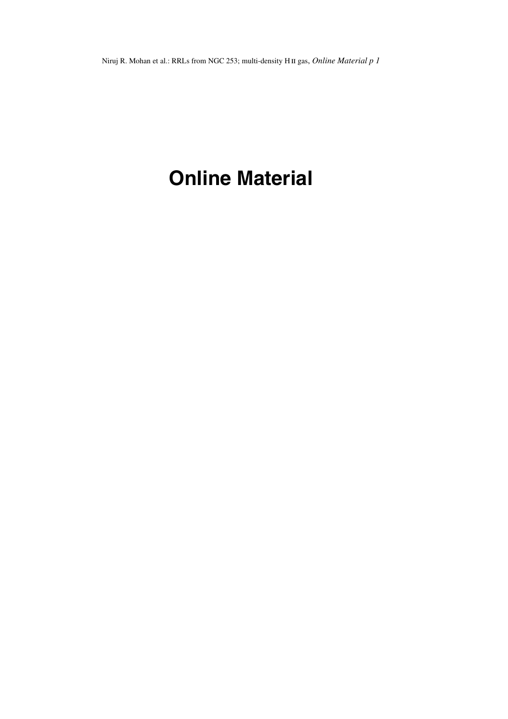Niruj R. Mohan et al.: RRLs from NGC 253; multi-density H II gas, *Online Material p 1* 

# **Online Material**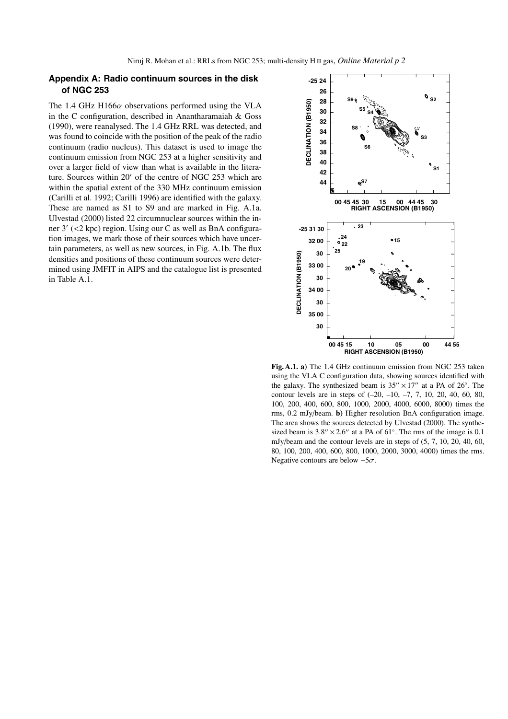# **Appendix A: Radio continuum sources in the disk of NGC 253**

The 1.4 GHz H166 $\alpha$  observations performed using the VLA in the C configuration, described in Anantharamaiah & Goss (1990), were reanalysed. The 1.4 GHz RRL was detected, and was found to coincide with the position of the peak of the radio continuum (radio nucleus). This dataset is used to image the continuum emission from NGC 253 at a higher sensitivity and over a larger field of view than what is available in the literature. Sources within 20' of the centre of NGC 253 which are within the spatial extent of the 330 MHz continuum emission (Carilli et al. 1992; Carilli 1996) are identified with the galaxy. These are named as S1 to S9 and are marked in Fig. A.1a. Ulvestad (2000) listed 22 circumnuclear sources within the inner 3' (<2 kpc) region. Using our C as well as BnA configuration images, we mark those of their sources which have uncertain parameters, as well as new sources, in Fig. A.1b. The flux densities and positions of these continuum sources were determined using JMFIT in AIPS and the catalogue list is presented in Table A.1.



**Fig. A.1. a)** The 1.4 GHz continuum emission from NGC 253 taken using the VLA C configuration data, showing sources identified with the galaxy. The synthesized beam is  $35'' \times 17''$  at a PA of  $26^\circ$ . The contour levels are in steps of (–20, –10, –7, 7, 10, 20, 40, 60, 80, 100, 200, 400, 600, 800, 1000, 2000, 4000, 6000, 8000) times the rms, 0.2 mJy/beam. **b)** Higher resolution BnA configuration image. The area shows the sources detected by Ulvestad (2000). The synthesized beam is  $3.8'' \times 2.6''$  at a PA of  $61°$ . The rms of the image is 0.1 mJy/beam and the contour levels are in steps of (5, 7, 10, 20, 40, 60, 80, 100, 200, 400, 600, 800, 1000, 2000, 3000, 4000) times the rms. Negative contours are below  $-5\sigma$ .